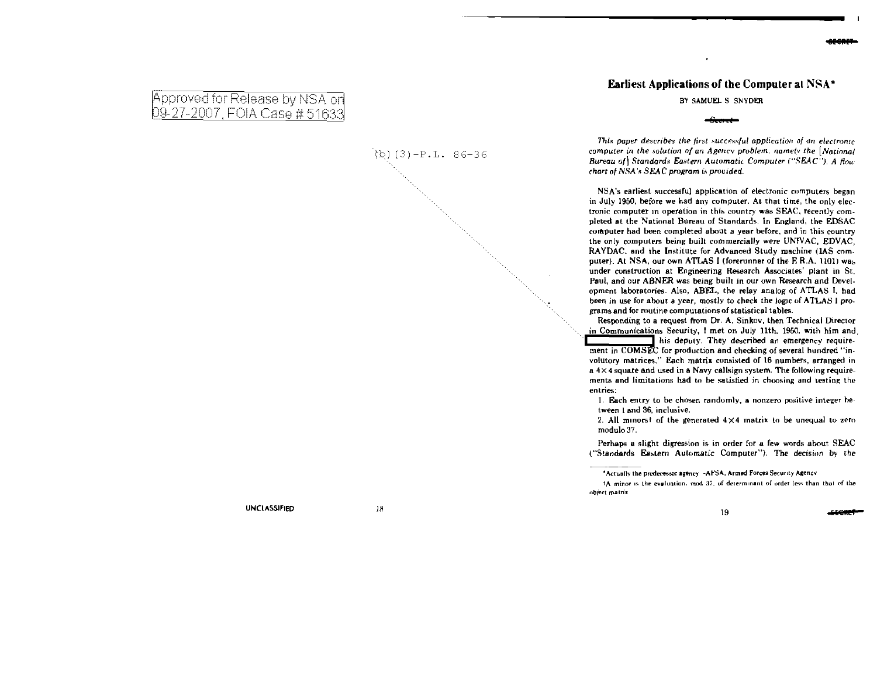## Earliest Applications of the Computer al NSA •

BY SAMUEL S SNYDER

*This paper describes the first successful application of an electronic computer in the solution of an Agency problem. namely the [National Bureau* ofJ *Standards* Ea.~tern *Automatic Computer ("SEAC"). A flou chart of NSA's SEAC program is provided.* 

NSA's earliest successful application of electronic computers began in July 1950, before we had any computer. At that time, the only electronic computer in operation in this country was SEAC, recently completed at the National Bureau of Standards. ln England, the EDSAC computer had been completed about a year be[ore, and in this country the only computers being built commercially were UNIVAC, EDVAC, RAYDAC, and the Institute for Advanced Study machine (IAS computer). At NSA, our own ATLAS I (forerunner of the E.R.A. 1101) was under construction at Engineering Research Associates' plant in St. Paul, and our ABNER was being built in our own Research and Development laboratories. Also, ABEL, the relay analog of ATLAS J. had been in use for shout a year, mostly to check the logic of ATLAS I pro. grams and for routine computations of statistical tables.

Responding to a request from Dr. A. Sinkov, then Technical Director in Communications Security, I met on July 11th. 1950. with him and, **H** his deputy. They described an emergency requirement in COMSEC for production and checking of several hundred "involutory matrices." Each matrix consisted of 16 numbers, arranged in a  $4 \times 4$  square and used in a Navy callsign system. The following requirements and limitations had to be satisfied in choosing and testing the entries:

1. Each entry to be chosen randomly, a nonzero positive integer hetween 1 and 36, inclusive.

2. All minorst of the generated  $4 \times 4$  matrix to be unequal to zero modulo 37.

Perhaps a slight digression is in order for a few words about SEAC ("Standards Eastern Automatic Computer"). The decision by the

IA minor is the eveluation. mod 37, of determinant of order less than that of the object matrix

## Approved for Release by NSA on<br>09-27-2007, FOIA Case #51633

 $(b)$  (3)-P.L. 86-36

UNCLASSIFIED 18

<sup>&#</sup>x27;Actually the predecessor agency -AFSA. Armed Forces Security Agency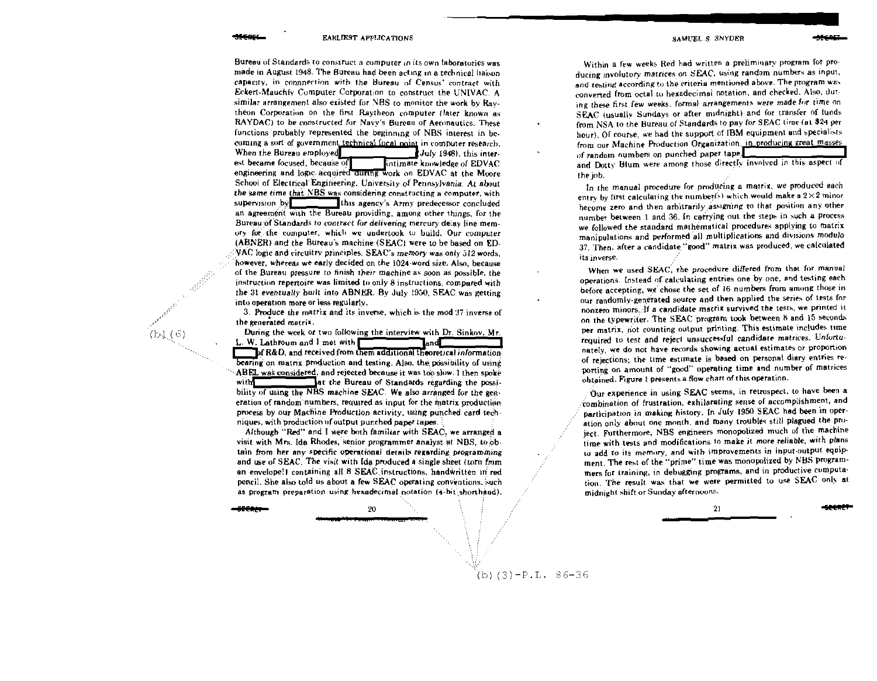Bureau of Standards to construct a computer in its own laboratories was made in August 1948. The Bureau had been acting in a technical haison capacity, in connnection with the Bureau of Census' contract with Eckert-Mauchly Computer Corporation to construct the UNIVAC. A similar arrangement also existed for NBS to monitor the work by Raytheon Corporation on the first Raytheon computer (later known as RAYDAC) to be constructed for Navy's Bureau of Aeronautics. These functions probably represented the beginning of NBS interest in becoming a sort of government technical focal point in combuter research. When the Bureau employed July 1948), this interest became focused, because of intimate knowledge of EDVAC engineering and logic acquired during work on EDVAC at the Moore School of Electrical Engineering. University of Pennsylvania. At about the same time that NBS was considering constructing a computer, with  $suberves on by$ this agency's Army predecessor concluded an agreement with the Bureau providing, among other things, for the Bureau of Standards to contract for delivering mercury delay line memory for the computer, which we undertook to build. Our computer (ABNER) and the Bureau's machine (SEAC) were to be based on ED- $\mathcal{N}$ AC logic and circuitry principles. SEAC's memory was only 512 words. however, whereas we early decided on the 1024-word size. Also, because of the Bureau pressure to finish their machine as soon as possible, the instruction repertoire was limited to only 8 instructions, compared with the 31 eventually built into ABNER. By July 1950, SEAC was getting into operation more or less regularly.

3. Produce the matrix and its inverse, which is the mod 37 inverse of the generated matrix.

During the week or two following the interview with Dr. Sinkov. Mr. L. W. Lathroum and I met with  $\mathsf{T}_{\text{and}}$ of R&D, and received from them additional theoretical information bearing on matrix production and testing. Also, the possibility of using ABEL was considered, and rejected because it was too slow. I then spoke lat the Bureau of Standards regarding the possiwith bility of using the NBS machine SEAC. We also arranged for the generation of random numbers, required as input for the matrix production process by our Machine Production activity, using punched card techniques, with production of output punched paper tapes.

Although "Red" and I were both familiar with SEAC, we arranged a visit with Mrs. Ida Rhodes, senior programmer analyst at NBS, to obtain from her any specific operational details regarding programming and use of SEAC. The visit with Ida produced a single sheet (torn from an envelope!) containing all 8 SEAC instructions, handwritten in red pencil. She also told us about a few SEAC operating conventions, such as program preparation using hexadecimal notation (4-bit shorthand).

20

 $(b)(3)-P.L. 86-36$ 

 $(b)$  $(6)$ 

SAMUEL S SNYDER

Within a few weeks Red had written a preliminary program for producing involutory matrices on SEAC, using random numbers as input, and testing according to the criteria mentioned above. The program was converted from octal to hexadecimal notation, and checked. Also, during these first few weeks. formal arrangements were made for time on SEAC tusually Sundays or after midnight) and for transfer of funds from NSA to the Bureau of Standards to pay for SEAC time (at \$24 per hour). Of course, we had the support of IBM equipment and specialists from our Machine Production Organization, in producing great masses of random numbers on punched paper tape.

and Dotty Blum were among those directly involved in this aspect of the iob.

In the manual procedure for producing a matrix, we produced each entry by first calculating the number(s) which would make a  $2\times 2$  minor become zero and then arbitrarily assigning to that position any other number between 1 and 36. In carrying out the steps in such a process we followed the standard mathématical procedures applying to matrix manipulations and performed all multiplications and divisions modulo 37. Then, after a candidate "good" matrix was produced, we calculated its inverse.

When we used SEAC, the procedure differed from that for manual operations. Instead of calculating entries one by one, and testing each before accepting, we chose the set of 16 numbers from among those in our randomly-generated source and then applied the series of tests for nonzero minors. If a candidate matrix survived the tests, we printed it on the typewriter. The SEAC program took between 8 and 15 seconds per matrix, not counting output printing. This estimate includes time required to test and reject unsuccessful candidate matrices. Unfortunately, we do not have records showing actual estimates or proportion of rejections; the time estimate is based on personal diary entries reporting on amount of "good" operating time and number of matrices obtained. Figure 1 presents a flow chart of this operation.

Our experience in using SEAC seems, in retrospect, to have been a combination of frustration, exhilarating sense of accomplishment, and participation in making history. In July 1950 SEAC had been in operation only about one month, and many troubles still plagued the project. Furthermore, NBS engineers monopolized much of the machine time with tests and modifications to make it more reliable, with plans to add to its memory, and with improvements in input output equipment. The rest of the "prime" time was monopolized by NBS programmers for training, in debugging programs, and in productive computation. The result was that we were permitted to use SEAC only at midnight shift or Sunday afternoons.

 $21$